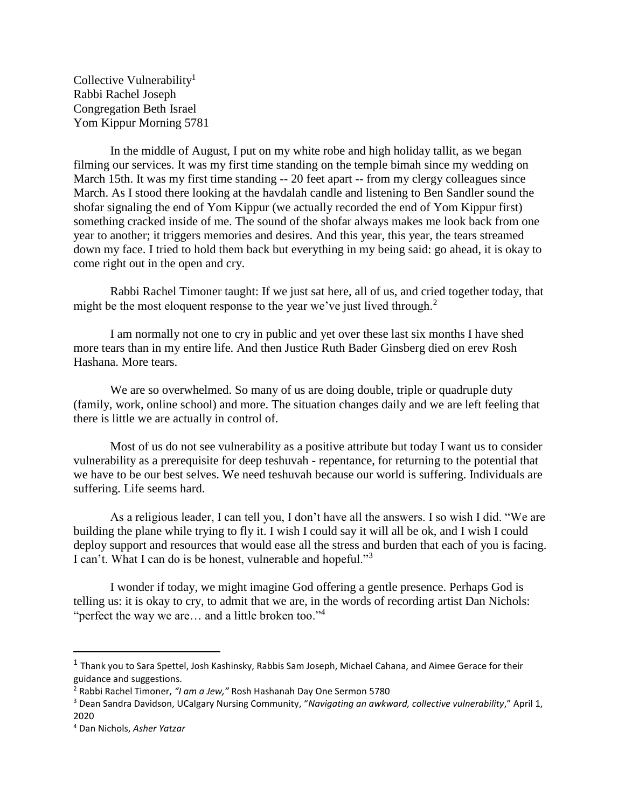Collective Vulnerability<sup>1</sup> Rabbi Rachel Joseph Congregation Beth Israel Yom Kippur Morning 5781

In the middle of August, I put on my white robe and high holiday tallit, as we began filming our services. It was my first time standing on the temple bimah since my wedding on March 15th. It was my first time standing -- 20 feet apart -- from my clergy colleagues since March. As I stood there looking at the havdalah candle and listening to Ben Sandler sound the shofar signaling the end of Yom Kippur (we actually recorded the end of Yom Kippur first) something cracked inside of me. The sound of the shofar always makes me look back from one year to another; it triggers memories and desires. And this year, this year, the tears streamed down my face. I tried to hold them back but everything in my being said: go ahead, it is okay to come right out in the open and cry.

Rabbi Rachel Timoner taught: If we just sat here, all of us, and cried together today, that might be the most eloquent response to the year we've just lived through.<sup>2</sup>

I am normally not one to cry in public and yet over these last six months I have shed more tears than in my entire life. And then Justice Ruth Bader Ginsberg died on erev Rosh Hashana. More tears.

We are so overwhelmed. So many of us are doing double, triple or quadruple duty (family, work, online school) and more. The situation changes daily and we are left feeling that there is little we are actually in control of.

Most of us do not see vulnerability as a positive attribute but today I want us to consider vulnerability as a prerequisite for deep teshuvah - repentance, for returning to the potential that we have to be our best selves. We need teshuvah because our world is suffering. Individuals are suffering. Life seems hard.

As a religious leader, I can tell you, I don't have all the answers. I so wish I did. "We are building the plane while trying to fly it. I wish I could say it will all be ok, and I wish I could deploy support and resources that would ease all the stress and burden that each of you is facing. I can't. What I can do is be honest, vulnerable and hopeful."<sup>3</sup>

I wonder if today, we might imagine God offering a gentle presence. Perhaps God is telling us: it is okay to cry, to admit that we are, in the words of recording artist Dan Nichols: "perfect the way we are... and a little broken too."<sup>4</sup>

l

<sup>&</sup>lt;sup>1</sup> Thank you to Sara Spettel, Josh Kashinsky, Rabbis Sam Joseph, Michael Cahana, and Aimee Gerace for their guidance and suggestions.

<sup>2</sup> Rabbi Rachel Timoner, *"I am a Jew,"* Rosh Hashanah Day One Sermon 5780

<sup>3</sup> Dean Sandra Davidson, UCalgary Nursing Community, "*Navigating an awkward, collective vulnerability*," April 1, 2020

<sup>4</sup> Dan Nichols, *Asher Yatzar*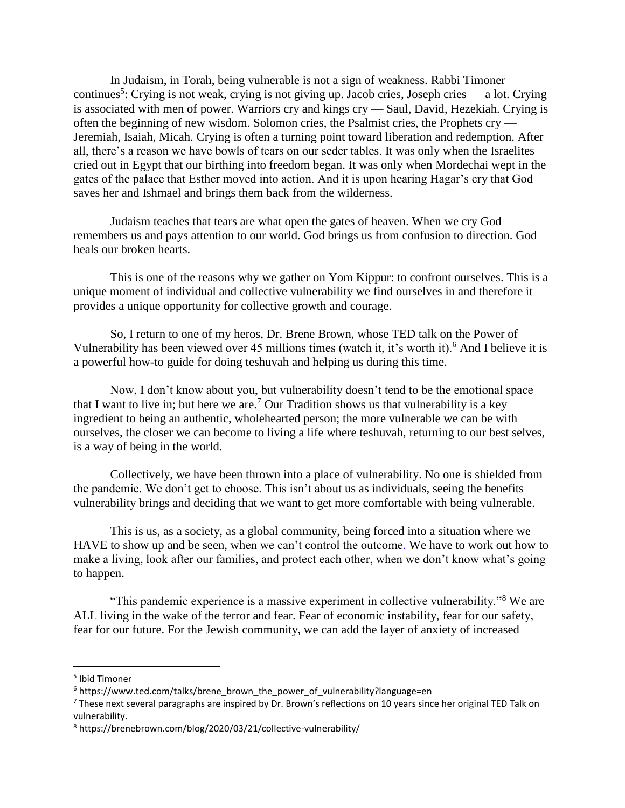In Judaism, in Torah, being vulnerable is not a sign of weakness. Rabbi Timoner continues<sup>5</sup>: Crying is not weak, crying is not giving up. Jacob cries, Joseph cries — a lot. Crying is associated with men of power. Warriors cry and kings cry — Saul, David, Hezekiah. Crying is often the beginning of new wisdom. Solomon cries, the Psalmist cries, the Prophets cry — Jeremiah, Isaiah, Micah. Crying is often a turning point toward liberation and redemption. After all, there's a reason we have bowls of tears on our seder tables. It was only when the Israelites cried out in Egypt that our birthing into freedom began. It was only when Mordechai wept in the gates of the palace that Esther moved into action. And it is upon hearing Hagar's cry that God saves her and Ishmael and brings them back from the wilderness.

Judaism teaches that tears are what open the gates of heaven. When we cry God remembers us and pays attention to our world. God brings us from confusion to direction. God heals our broken hearts.

This is one of the reasons why we gather on Yom Kippur: to confront ourselves. This is a unique moment of individual and collective vulnerability we find ourselves in and therefore it provides a unique opportunity for collective growth and courage.

So, I return to one of my heros, Dr. Brene Brown, whose TED talk on the Power of Vulnerability has been viewed over 45 millions times (watch it, it's worth it).<sup>6</sup> And I believe it is a powerful how-to guide for doing teshuvah and helping us during this time.

Now, I don't know about you, but vulnerability doesn't tend to be the emotional space that I want to live in; but here we are.<sup>7</sup> Our Tradition shows us that vulnerability is a key ingredient to being an authentic, wholehearted person; the more vulnerable we can be with ourselves, the closer we can become to living a life where teshuvah, returning to our best selves, is a way of being in the world.

Collectively, we have been thrown into a place of vulnerability. No one is shielded from the pandemic. We don't get to choose. This isn't about us as individuals, seeing the benefits vulnerability brings and deciding that we want to get more comfortable with being vulnerable.

This is us, as a society, as a global community, being forced into a situation where we HAVE to show up and be seen, when we can't control the outcome. We have to work out how to make a living, look after our families, and protect each other, when we don't know what's going to happen.

"This pandemic experience is a massive experiment in collective vulnerability."<sup>8</sup> We are ALL living in the wake of the terror and fear. Fear of economic instability, fear for our safety, fear for our future. For the Jewish community, we can add the layer of anxiety of increased

l

<sup>5</sup> Ibid Timoner

<sup>&</sup>lt;sup>6</sup> https://www.ted.com/talks/brene\_brown\_the\_power\_of\_vulnerability?language=en

 $7$  These next several paragraphs are inspired by Dr. Brown's reflections on 10 years since her original TED Talk on vulnerability.

<sup>8</sup> https://brenebrown.com/blog/2020/03/21/collective-vulnerability/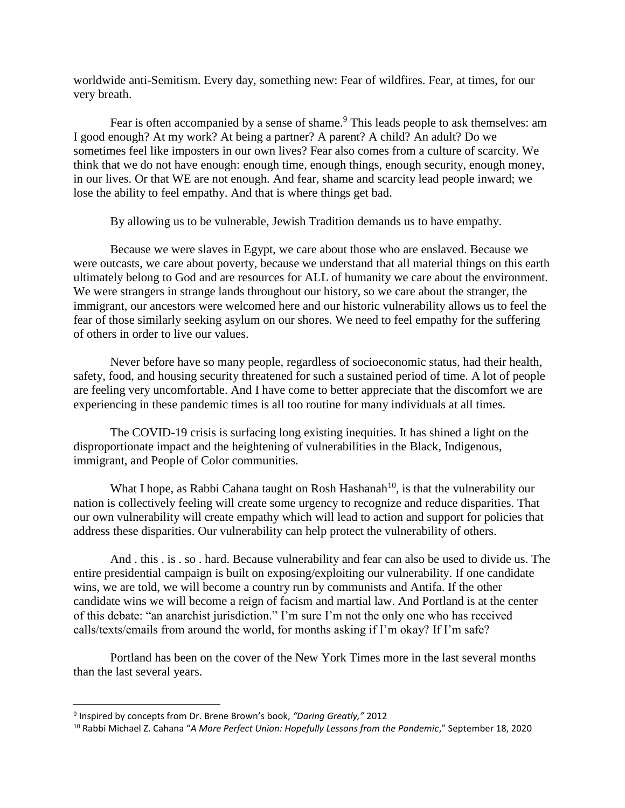worldwide anti-Semitism. Every day, something new: Fear of wildfires. Fear, at times, for our very breath.

Fear is often accompanied by a sense of shame.<sup>9</sup> This leads people to ask themselves: am I good enough? At my work? At being a partner? A parent? A child? An adult? Do we sometimes feel like imposters in our own lives? Fear also comes from a culture of scarcity. We think that we do not have enough: enough time, enough things, enough security, enough money, in our lives. Or that WE are not enough. And fear, shame and scarcity lead people inward; we lose the ability to feel empathy. And that is where things get bad.

By allowing us to be vulnerable, Jewish Tradition demands us to have empathy.

Because we were slaves in Egypt, we care about those who are enslaved. Because we were outcasts, we care about poverty, because we understand that all material things on this earth ultimately belong to God and are resources for ALL of humanity we care about the environment. We were strangers in strange lands throughout our history, so we care about the stranger, the immigrant, our ancestors were welcomed here and our historic vulnerability allows us to feel the fear of those similarly seeking asylum on our shores. We need to feel empathy for the suffering of others in order to live our values.

Never before have so many people, regardless of socioeconomic status, had their health, safety, food, and housing security threatened for such a sustained period of time. A lot of people are feeling very uncomfortable. And I have come to better appreciate that the discomfort we are experiencing in these pandemic times is all too routine for many individuals at all times.

The COVID-19 crisis is surfacing long existing inequities. It has shined a light on the disproportionate impact and the heightening of vulnerabilities in the Black, Indigenous, immigrant, and People of Color communities.

What I hope, as Rabbi Cahana taught on Rosh Hashanah<sup>10</sup>, is that the vulnerability our nation is collectively feeling will create some urgency to recognize and reduce disparities. That our own vulnerability will create empathy which will lead to action and support for policies that address these disparities. Our vulnerability can help protect the vulnerability of others.

And . this . is . so . hard. Because vulnerability and fear can also be used to divide us. The entire presidential campaign is built on exposing/exploiting our vulnerability. If one candidate wins, we are told, we will become a country run by communists and Antifa. If the other candidate wins we will become a reign of facism and martial law. And Portland is at the center of this debate: "an anarchist jurisdiction." I'm sure I'm not the only one who has received calls/texts/emails from around the world, for months asking if I'm okay? If I'm safe?

Portland has been on the cover of the New York Times more in the last several months than the last several years.

l

<sup>9</sup> Inspired by concepts from Dr. Brene Brown's book, *"Daring Greatly,"* 2012

<sup>10</sup> Rabbi Michael Z. Cahana "*A More Perfect Union: Hopefully Lessons from the Pandemic*," September 18, 2020